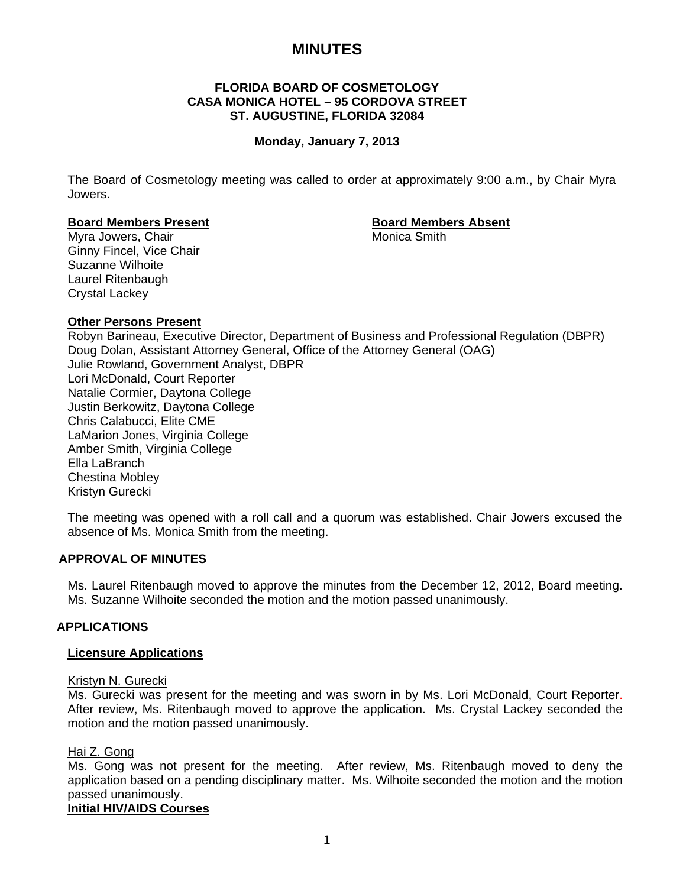# **MINUTES**

# **FLORIDA BOARD OF COSMETOLOGY CASA MONICA HOTEL – 95 CORDOVA STREET ST. AUGUSTINE, FLORIDA 32084**

# **Monday, January 7, 2013**

The Board of Cosmetology meeting was called to order at approximately 9:00 a.m., by Chair Myra Jowers.

#### **Board Members Present Communist Except Absent Report Absent Report Absent Report Absent**

Myra Jowers, Chair **Music America** Smith Ginny Fincel, Vice Chair Suzanne Wilhoite Laurel Ritenbaugh Crystal Lackey

# **Other Persons Present**

Robyn Barineau, Executive Director, Department of Business and Professional Regulation (DBPR) Doug Dolan, Assistant Attorney General, Office of the Attorney General (OAG) Julie Rowland, Government Analyst, DBPR Lori McDonald, Court Reporter Natalie Cormier, Daytona College Justin Berkowitz, Daytona College Chris Calabucci, Elite CME LaMarion Jones, Virginia College Amber Smith, Virginia College Ella LaBranch Chestina Mobley Kristyn Gurecki

The meeting was opened with a roll call and a quorum was established. Chair Jowers excused the absence of Ms. Monica Smith from the meeting.

### **APPROVAL OF MINUTES**

Ms. Laurel Ritenbaugh moved to approve the minutes from the December 12, 2012, Board meeting. Ms. Suzanne Wilhoite seconded the motion and the motion passed unanimously.

### **APPLICATIONS**

### **Licensure Applications**

#### Kristyn N. Gurecki

Ms. Gurecki was present for the meeting and was sworn in by Ms. Lori McDonald, Court Reporter. After review, Ms. Ritenbaugh moved to approve the application. Ms. Crystal Lackey seconded the motion and the motion passed unanimously.

### Hai Z. Gong

Ms. Gong was not present for the meeting. After review, Ms. Ritenbaugh moved to deny the application based on a pending disciplinary matter. Ms. Wilhoite seconded the motion and the motion passed unanimously.

### **Initial HIV/AIDS Courses**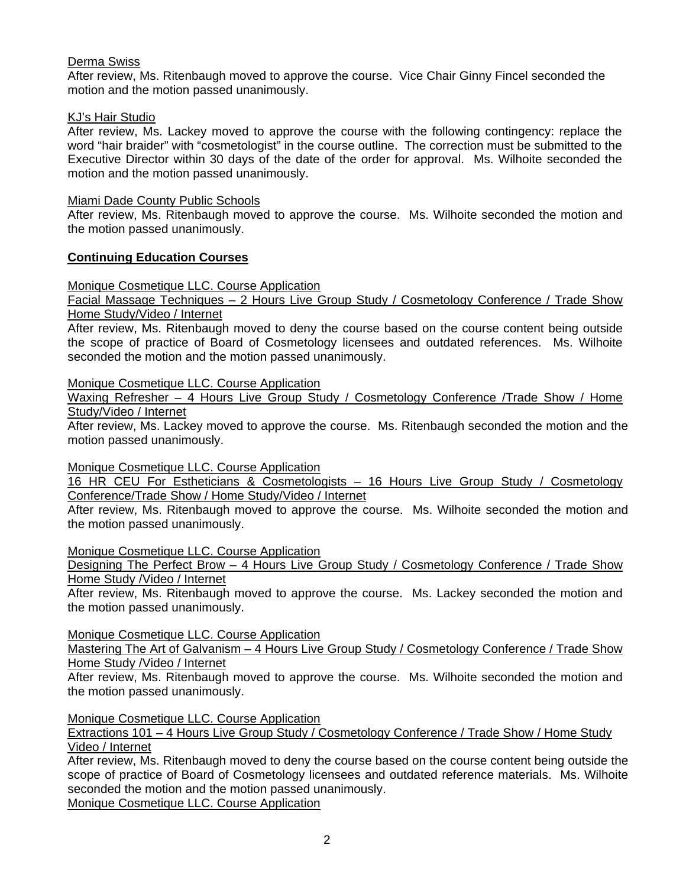# Derma Swiss

After review, Ms. Ritenbaugh moved to approve the course. Vice Chair Ginny Fincel seconded the motion and the motion passed unanimously.

# KJ's Hair Studio

After review, Ms. Lackey moved to approve the course with the following contingency: replace the word "hair braider" with "cosmetologist" in the course outline. The correction must be submitted to the Executive Director within 30 days of the date of the order for approval. Ms. Wilhoite seconded the motion and the motion passed unanimously.

# Miami Dade County Public Schools

After review, Ms. Ritenbaugh moved to approve the course. Ms. Wilhoite seconded the motion and the motion passed unanimously.

# **Continuing Education Courses**

Monique Cosmetique LLC. Course Application

Facial Massage Techniques – 2 Hours Live Group Study / Cosmetology Conference / Trade Show Home Study/Video / Internet

After review, Ms. Ritenbaugh moved to deny the course based on the course content being outside the scope of practice of Board of Cosmetology licensees and outdated references. Ms. Wilhoite seconded the motion and the motion passed unanimously.

Monique Cosmetique LLC. Course Application

Waxing Refresher - 4 Hours Live Group Study / Cosmetology Conference /Trade Show / Home Study/Video / Internet

After review, Ms. Lackey moved to approve the course. Ms. Ritenbaugh seconded the motion and the motion passed unanimously.

Monique Cosmetique LLC. Course Application

16 HR CEU For Estheticians & Cosmetologists – 16 Hours Live Group Study / Cosmetology Conference/Trade Show / Home Study/Video / Internet

After review, Ms. Ritenbaugh moved to approve the course. Ms. Wilhoite seconded the motion and the motion passed unanimously.

Monique Cosmetique LLC. Course Application

Designing The Perfect Brow – 4 Hours Live Group Study / Cosmetology Conference / Trade Show Home Study /Video / Internet

After review, Ms. Ritenbaugh moved to approve the course. Ms. Lackey seconded the motion and the motion passed unanimously.

# Monique Cosmetique LLC. Course Application

Mastering The Art of Galvanism - 4 Hours Live Group Study / Cosmetology Conference / Trade Show Home Study /Video / Internet

After review, Ms. Ritenbaugh moved to approve the course. Ms. Wilhoite seconded the motion and the motion passed unanimously.

Monique Cosmetique LLC. Course Application

Extractions 101 – 4 Hours Live Group Study / Cosmetology Conference / Trade Show / Home Study Video / Internet

After review, Ms. Ritenbaugh moved to deny the course based on the course content being outside the scope of practice of Board of Cosmetology licensees and outdated reference materials. Ms. Wilhoite seconded the motion and the motion passed unanimously.

Monique Cosmetique LLC. Course Application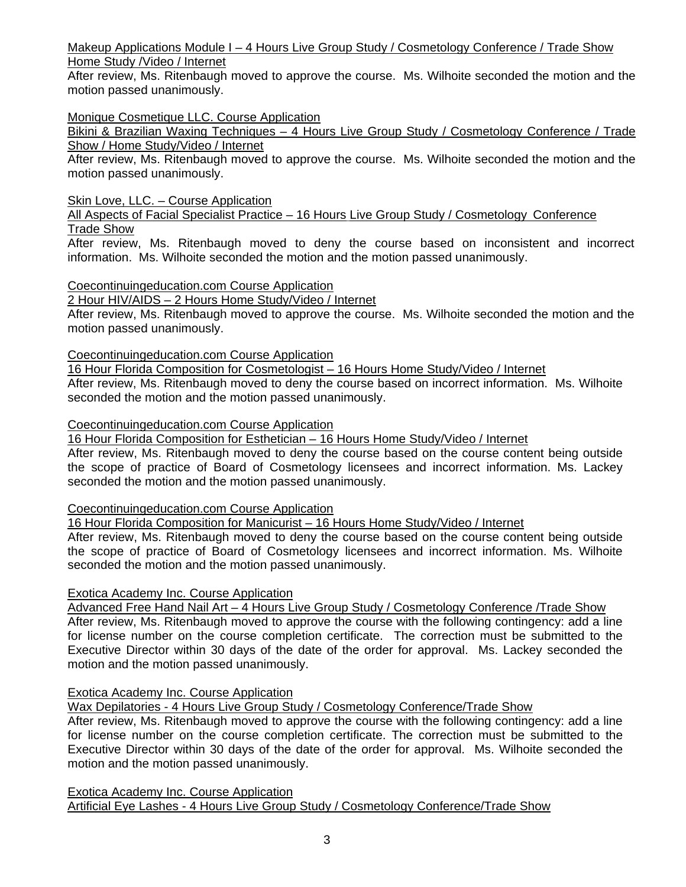Makeup Applications Module I – 4 Hours Live Group Study / Cosmetology Conference / Trade Show Home Study /Video / Internet

After review, Ms. Ritenbaugh moved to approve the course. Ms. Wilhoite seconded the motion and the motion passed unanimously.

# Monique Cosmetique LLC. Course Application

Bikini & Brazilian Waxing Techniques – 4 Hours Live Group Study / Cosmetology Conference / Trade Show / Home Study/Video / Internet

After review, Ms. Ritenbaugh moved to approve the course. Ms. Wilhoite seconded the motion and the motion passed unanimously.

# Skin Love, LLC. – Course Application

All Aspects of Facial Specialist Practice – 16 Hours Live Group Study / Cosmetology Conference Trade Show

After review, Ms. Ritenbaugh moved to deny the course based on inconsistent and incorrect information. Ms. Wilhoite seconded the motion and the motion passed unanimously.

# Coecontinuingeducation.com Course Application

# 2 Hour HIV/AIDS – 2 Hours Home Study/Video / Internet

After review, Ms. Ritenbaugh moved to approve the course. Ms. Wilhoite seconded the motion and the motion passed unanimously.

# Coecontinuingeducation.com Course Application

16 Hour Florida Composition for Cosmetologist – 16 Hours Home Study/Video / Internet After review, Ms. Ritenbaugh moved to deny the course based on incorrect information. Ms. Wilhoite seconded the motion and the motion passed unanimously.

# Coecontinuingeducation.com Course Application

16 Hour Florida Composition for Esthetician – 16 Hours Home Study/Video / Internet

After review, Ms. Ritenbaugh moved to deny the course based on the course content being outside the scope of practice of Board of Cosmetology licensees and incorrect information. Ms. Lackey seconded the motion and the motion passed unanimously.

# Coecontinuingeducation.com Course Application

16 Hour Florida Composition for Manicurist – 16 Hours Home Study/Video / Internet

After review, Ms. Ritenbaugh moved to deny the course based on the course content being outside the scope of practice of Board of Cosmetology licensees and incorrect information. Ms. Wilhoite seconded the motion and the motion passed unanimously.

# Exotica Academy Inc. Course Application

Advanced Free Hand Nail Art – 4 Hours Live Group Study / Cosmetology Conference /Trade Show After review, Ms. Ritenbaugh moved to approve the course with the following contingency: add a line for license number on the course completion certificate. The correction must be submitted to the Executive Director within 30 days of the date of the order for approval. Ms. Lackey seconded the motion and the motion passed unanimously.

# Exotica Academy Inc. Course Application

Wax Depilatories - 4 Hours Live Group Study / Cosmetology Conference/Trade Show

After review, Ms. Ritenbaugh moved to approve the course with the following contingency: add a line for license number on the course completion certificate. The correction must be submitted to the Executive Director within 30 days of the date of the order for approval. Ms. Wilhoite seconded the motion and the motion passed unanimously.

Exotica Academy Inc. Course Application Artificial Eye Lashes - 4 Hours Live Group Study / Cosmetology Conference/Trade Show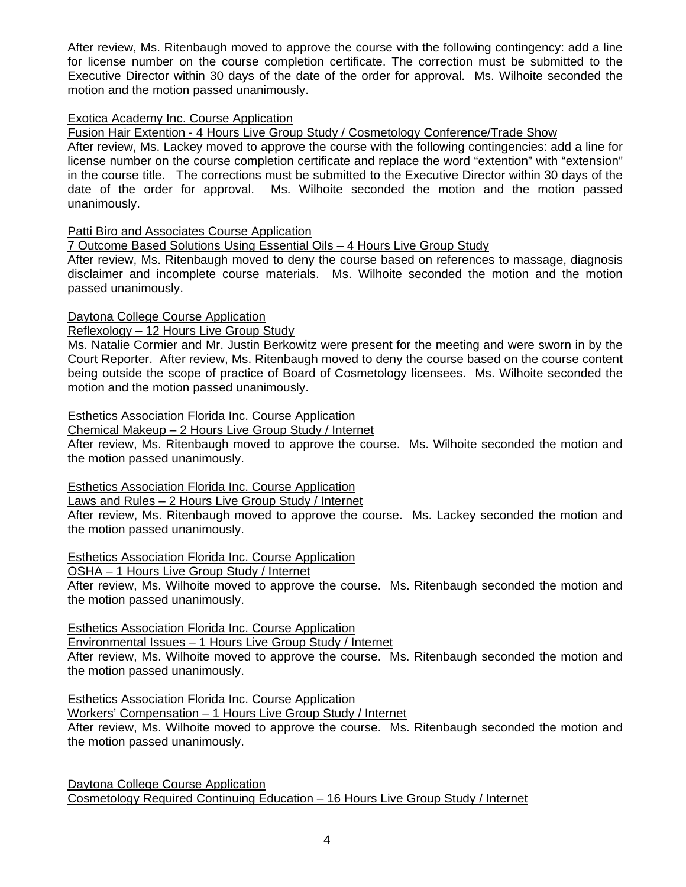After review, Ms. Ritenbaugh moved to approve the course with the following contingency: add a line for license number on the course completion certificate. The correction must be submitted to the Executive Director within 30 days of the date of the order for approval. Ms. Wilhoite seconded the motion and the motion passed unanimously.

# Exotica Academy Inc. Course Application

Fusion Hair Extention - 4 Hours Live Group Study / Cosmetology Conference/Trade Show

After review, Ms. Lackey moved to approve the course with the following contingencies: add a line for license number on the course completion certificate and replace the word "extention" with "extension" in the course title. The corrections must be submitted to the Executive Director within 30 days of the date of the order for approval. Ms. Wilhoite seconded the motion and the motion passed unanimously.

# Patti Biro and Associates Course Application

7 Outcome Based Solutions Using Essential Oils – 4 Hours Live Group Study

After review, Ms. Ritenbaugh moved to deny the course based on references to massage, diagnosis disclaimer and incomplete course materials. Ms. Wilhoite seconded the motion and the motion passed unanimously.

# Daytona College Course Application

Reflexology – 12 Hours Live Group Study

Ms. Natalie Cormier and Mr. Justin Berkowitz were present for the meeting and were sworn in by the Court Reporter. After review, Ms. Ritenbaugh moved to deny the course based on the course content being outside the scope of practice of Board of Cosmetology licensees. Ms. Wilhoite seconded the motion and the motion passed unanimously.

### Esthetics Association Florida Inc. Course Application

Chemical Makeup – 2 Hours Live Group Study / Internet

After review, Ms. Ritenbaugh moved to approve the course. Ms. Wilhoite seconded the motion and the motion passed unanimously.

# Esthetics Association Florida Inc. Course Application

Laws and Rules – 2 Hours Live Group Study / Internet

After review, Ms. Ritenbaugh moved to approve the course. Ms. Lackey seconded the motion and the motion passed unanimously.

# Esthetics Association Florida Inc. Course Application

OSHA – 1 Hours Live Group Study / Internet

After review, Ms. Wilhoite moved to approve the course. Ms. Ritenbaugh seconded the motion and the motion passed unanimously.

Esthetics Association Florida Inc. Course Application

Environmental Issues – 1 Hours Live Group Study / Internet

After review, Ms. Wilhoite moved to approve the course. Ms. Ritenbaugh seconded the motion and the motion passed unanimously.

Esthetics Association Florida Inc. Course Application

Workers' Compensation – 1 Hours Live Group Study / Internet

After review, Ms. Wilhoite moved to approve the course. Ms. Ritenbaugh seconded the motion and the motion passed unanimously.

Daytona College Course Application Cosmetology Required Continuing Education – 16 Hours Live Group Study / Internet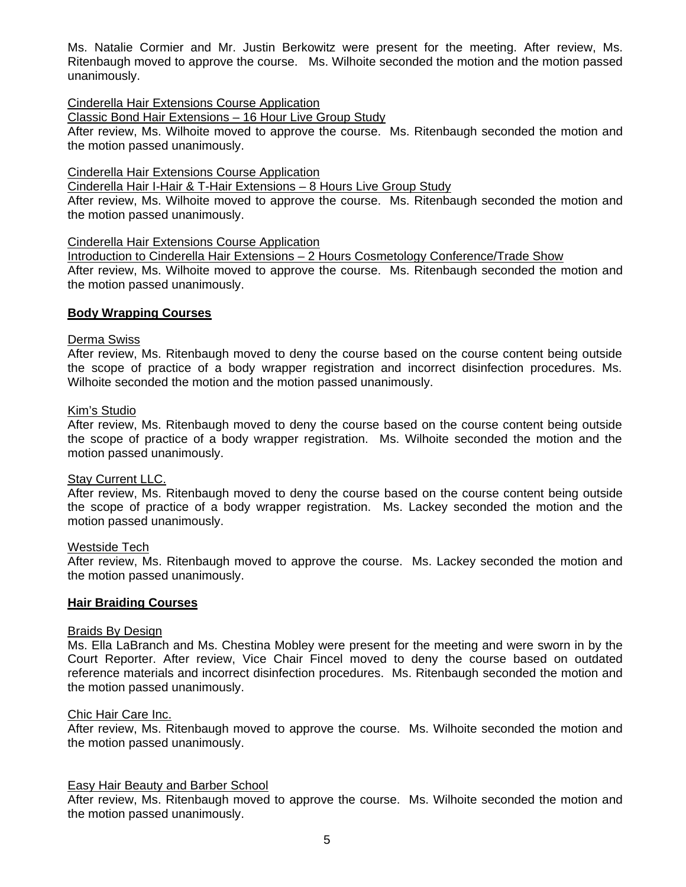Ms. Natalie Cormier and Mr. Justin Berkowitz were present for the meeting. After review, Ms. Ritenbaugh moved to approve the course. Ms. Wilhoite seconded the motion and the motion passed unanimously.

# Cinderella Hair Extensions Course Application

Classic Bond Hair Extensions – 16 Hour Live Group Study

After review, Ms. Wilhoite moved to approve the course. Ms. Ritenbaugh seconded the motion and the motion passed unanimously.

### Cinderella Hair Extensions Course Application

Cinderella Hair I-Hair & T-Hair Extensions – 8 Hours Live Group Study

After review, Ms. Wilhoite moved to approve the course. Ms. Ritenbaugh seconded the motion and the motion passed unanimously.

#### Cinderella Hair Extensions Course Application

Introduction to Cinderella Hair Extensions – 2 Hours Cosmetology Conference/Trade Show After review, Ms. Wilhoite moved to approve the course. Ms. Ritenbaugh seconded the motion and the motion passed unanimously.

### **Body Wrapping Courses**

#### Derma Swiss

After review, Ms. Ritenbaugh moved to deny the course based on the course content being outside the scope of practice of a body wrapper registration and incorrect disinfection procedures. Ms. Wilhoite seconded the motion and the motion passed unanimously.

### Kim's Studio

After review, Ms. Ritenbaugh moved to deny the course based on the course content being outside the scope of practice of a body wrapper registration. Ms. Wilhoite seconded the motion and the motion passed unanimously.

### **Stay Current LLC.**

After review, Ms. Ritenbaugh moved to deny the course based on the course content being outside the scope of practice of a body wrapper registration. Ms. Lackey seconded the motion and the motion passed unanimously.

### Westside Tech

After review, Ms. Ritenbaugh moved to approve the course. Ms. Lackey seconded the motion and the motion passed unanimously.

### **Hair Braiding Courses**

### Braids By Design

Ms. Ella LaBranch and Ms. Chestina Mobley were present for the meeting and were sworn in by the Court Reporter. After review, Vice Chair Fincel moved to deny the course based on outdated reference materials and incorrect disinfection procedures. Ms. Ritenbaugh seconded the motion and the motion passed unanimously.

#### Chic Hair Care Inc.

After review, Ms. Ritenbaugh moved to approve the course. Ms. Wilhoite seconded the motion and the motion passed unanimously.

### Easy Hair Beauty and Barber School

After review, Ms. Ritenbaugh moved to approve the course. Ms. Wilhoite seconded the motion and the motion passed unanimously.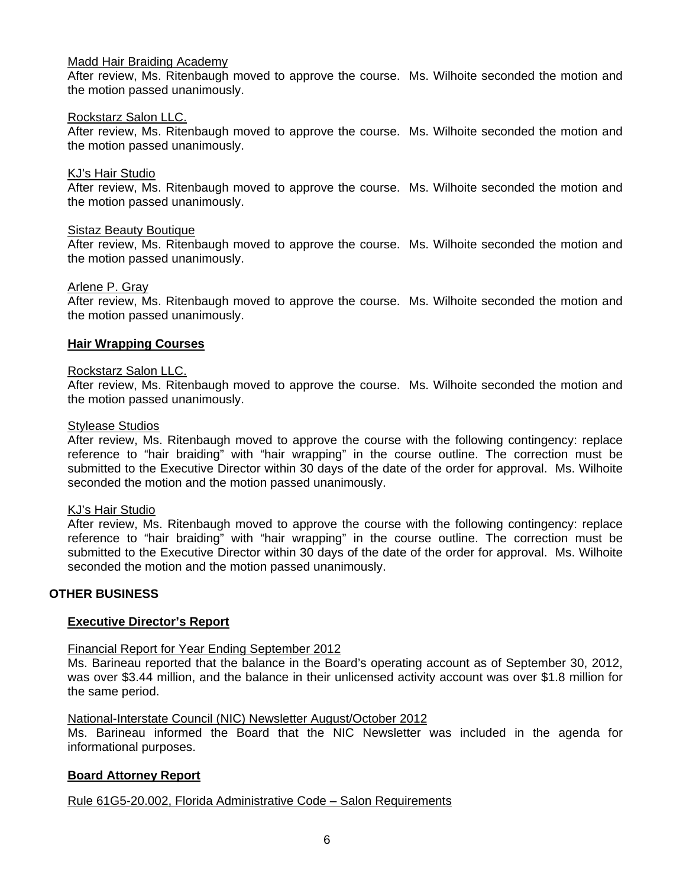### Madd Hair Braiding Academy

After review, Ms. Ritenbaugh moved to approve the course. Ms. Wilhoite seconded the motion and the motion passed unanimously.

### Rockstarz Salon LLC.

After review, Ms. Ritenbaugh moved to approve the course. Ms. Wilhoite seconded the motion and the motion passed unanimously.

#### KJ's Hair Studio

After review, Ms. Ritenbaugh moved to approve the course. Ms. Wilhoite seconded the motion and the motion passed unanimously.

# **Sistaz Beauty Boutique**

After review, Ms. Ritenbaugh moved to approve the course. Ms. Wilhoite seconded the motion and the motion passed unanimously.

#### Arlene P. Gray

After review, Ms. Ritenbaugh moved to approve the course. Ms. Wilhoite seconded the motion and the motion passed unanimously.

#### **Hair Wrapping Courses**

#### Rockstarz Salon LLC.

After review, Ms. Ritenbaugh moved to approve the course. Ms. Wilhoite seconded the motion and the motion passed unanimously.

#### Stylease Studios

After review, Ms. Ritenbaugh moved to approve the course with the following contingency: replace reference to "hair braiding" with "hair wrapping" in the course outline. The correction must be submitted to the Executive Director within 30 days of the date of the order for approval. Ms. Wilhoite seconded the motion and the motion passed unanimously.

#### KJ's Hair Studio

After review, Ms. Ritenbaugh moved to approve the course with the following contingency: replace reference to "hair braiding" with "hair wrapping" in the course outline. The correction must be submitted to the Executive Director within 30 days of the date of the order for approval. Ms. Wilhoite seconded the motion and the motion passed unanimously.

# **OTHER BUSINESS**

# **Executive Director's Report**

### Financial Report for Year Ending September 2012

Ms. Barineau reported that the balance in the Board's operating account as of September 30, 2012, was over \$3.44 million, and the balance in their unlicensed activity account was over \$1.8 million for the same period.

National-Interstate Council (NIC) Newsletter August/October 2012

Ms. Barineau informed the Board that the NIC Newsletter was included in the agenda for informational purposes.

### **Board Attorney Report**

# Rule 61G5-20.002, Florida Administrative Code – Salon Requirements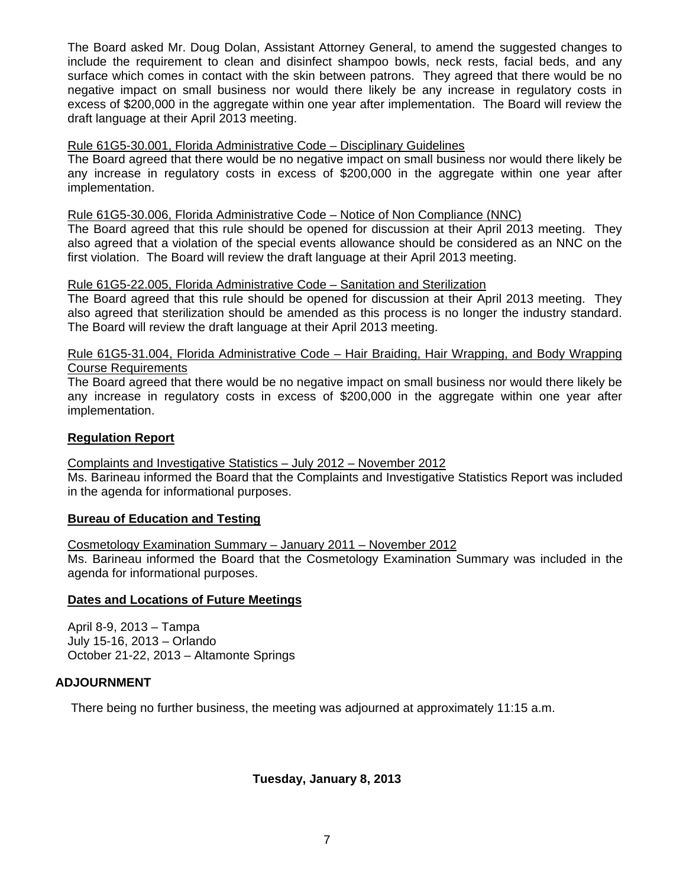The Board asked Mr. Doug Dolan, Assistant Attorney General, to amend the suggested changes to include the requirement to clean and disinfect shampoo bowls, neck rests, facial beds, and any surface which comes in contact with the skin between patrons. They agreed that there would be no negative impact on small business nor would there likely be any increase in regulatory costs in excess of \$200,000 in the aggregate within one year after implementation. The Board will review the draft language at their April 2013 meeting.

# Rule 61G5-30.001, Florida Administrative Code – Disciplinary Guidelines

The Board agreed that there would be no negative impact on small business nor would there likely be any increase in regulatory costs in excess of \$200,000 in the aggregate within one year after implementation.

# Rule 61G5-30.006, Florida Administrative Code – Notice of Non Compliance (NNC)

The Board agreed that this rule should be opened for discussion at their April 2013 meeting. They also agreed that a violation of the special events allowance should be considered as an NNC on the first violation. The Board will review the draft language at their April 2013 meeting.

# Rule 61G5-22.005, Florida Administrative Code – Sanitation and Sterilization

The Board agreed that this rule should be opened for discussion at their April 2013 meeting. They also agreed that sterilization should be amended as this process is no longer the industry standard. The Board will review the draft language at their April 2013 meeting.

# Rule 61G5-31.004, Florida Administrative Code – Hair Braiding, Hair Wrapping, and Body Wrapping Course Requirements

The Board agreed that there would be no negative impact on small business nor would there likely be any increase in regulatory costs in excess of \$200,000 in the aggregate within one year after implementation.

# **Regulation Report**

# Complaints and Investigative Statistics – July 2012 – November 2012

Ms. Barineau informed the Board that the Complaints and Investigative Statistics Report was included in the agenda for informational purposes.

### **Bureau of Education and Testing**

Cosmetology Examination Summary – January 2011 – November 2012

Ms. Barineau informed the Board that the Cosmetology Examination Summary was included in the agenda for informational purposes.

### **Dates and Locations of Future Meetings**

April 8-9, 2013 – Tampa July 15-16, 2013 – Orlando October 21-22, 2013 – Altamonte Springs

### **ADJOURNMENT**

There being no further business, the meeting was adjourned at approximately 11:15 a.m.

# **Tuesday, January 8, 2013**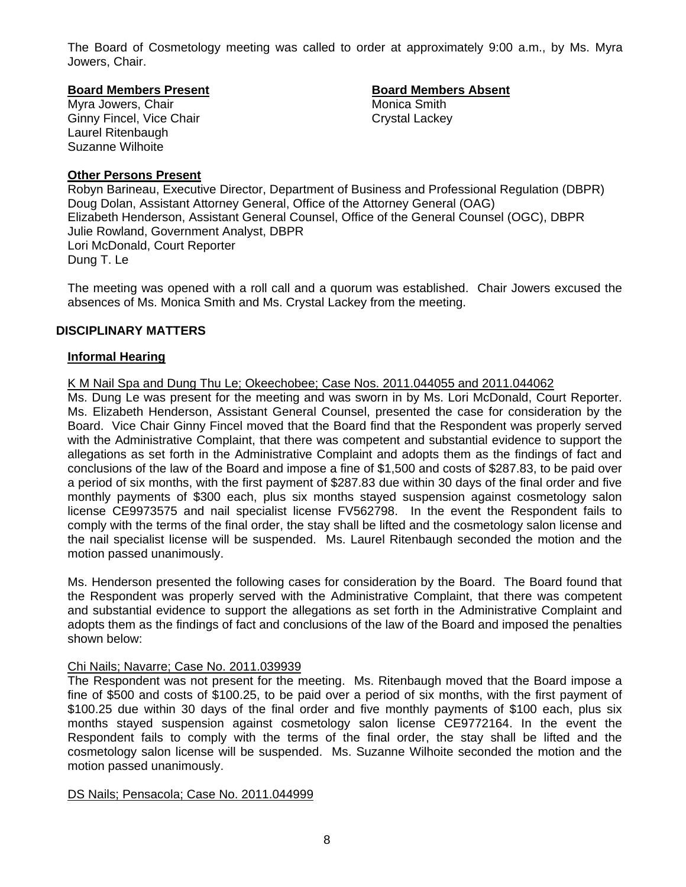The Board of Cosmetology meeting was called to order at approximately 9:00 a.m., by Ms. Myra Jowers, Chair.

#### **Board Members Present Communist Board Members Absent**

Myra Jowers, Chair **Music America Smith** Monica Smith Ginny Fincel, Vice Chair Chair Crystal Lackey Laurel Ritenbaugh Suzanne Wilhoite

# **Other Persons Present**

Robyn Barineau, Executive Director, Department of Business and Professional Regulation (DBPR) Doug Dolan, Assistant Attorney General, Office of the Attorney General (OAG) Elizabeth Henderson, Assistant General Counsel, Office of the General Counsel (OGC), DBPR Julie Rowland, Government Analyst, DBPR Lori McDonald, Court Reporter Dung T. Le

The meeting was opened with a roll call and a quorum was established. Chair Jowers excused the absences of Ms. Monica Smith and Ms. Crystal Lackey from the meeting.

# **DISCIPLINARY MATTERS**

# **Informal Hearing**

# K M Nail Spa and Dung Thu Le; Okeechobee; Case Nos. 2011.044055 and 2011.044062

Ms. Dung Le was present for the meeting and was sworn in by Ms. Lori McDonald, Court Reporter. Ms. Elizabeth Henderson, Assistant General Counsel, presented the case for consideration by the Board. Vice Chair Ginny Fincel moved that the Board find that the Respondent was properly served with the Administrative Complaint, that there was competent and substantial evidence to support the allegations as set forth in the Administrative Complaint and adopts them as the findings of fact and conclusions of the law of the Board and impose a fine of \$1,500 and costs of \$287.83, to be paid over a period of six months, with the first payment of \$287.83 due within 30 days of the final order and five monthly payments of \$300 each, plus six months stayed suspension against cosmetology salon license CE9973575 and nail specialist license FV562798. In the event the Respondent fails to comply with the terms of the final order, the stay shall be lifted and the cosmetology salon license and the nail specialist license will be suspended. Ms. Laurel Ritenbaugh seconded the motion and the motion passed unanimously.

Ms. Henderson presented the following cases for consideration by the Board. The Board found that the Respondent was properly served with the Administrative Complaint, that there was competent and substantial evidence to support the allegations as set forth in the Administrative Complaint and adopts them as the findings of fact and conclusions of the law of the Board and imposed the penalties shown below:

### Chi Nails; Navarre; Case No. 2011.039939

The Respondent was not present for the meeting. Ms. Ritenbaugh moved that the Board impose a fine of \$500 and costs of \$100.25, to be paid over a period of six months, with the first payment of \$100.25 due within 30 days of the final order and five monthly payments of \$100 each, plus six months stayed suspension against cosmetology salon license CE9772164. In the event the Respondent fails to comply with the terms of the final order, the stay shall be lifted and the cosmetology salon license will be suspended. Ms. Suzanne Wilhoite seconded the motion and the motion passed unanimously.

### DS Nails; Pensacola; Case No. 2011.044999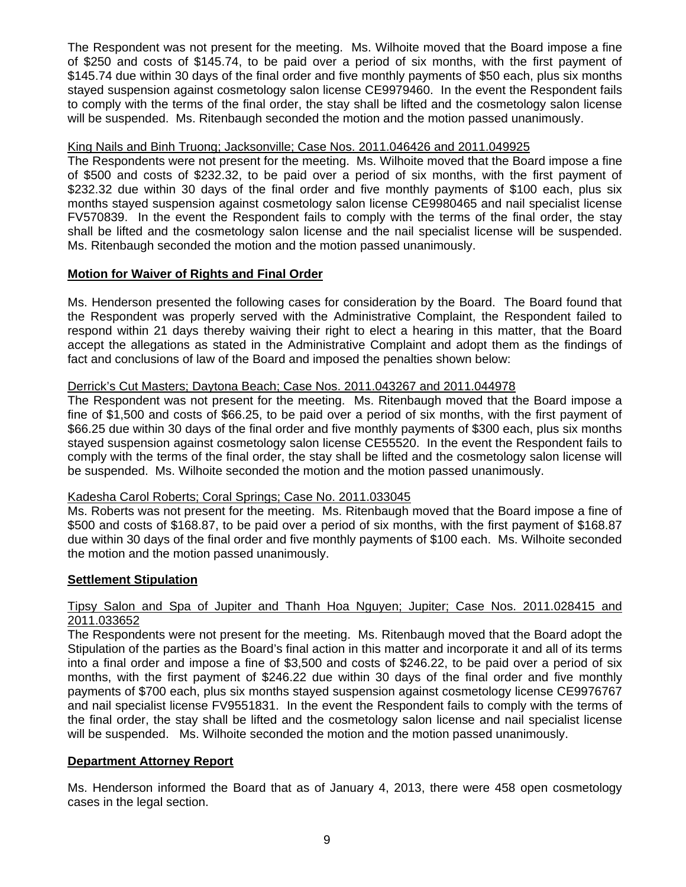The Respondent was not present for the meeting. Ms. Wilhoite moved that the Board impose a fine of \$250 and costs of \$145.74, to be paid over a period of six months, with the first payment of \$145.74 due within 30 days of the final order and five monthly payments of \$50 each, plus six months stayed suspension against cosmetology salon license CE9979460. In the event the Respondent fails to comply with the terms of the final order, the stay shall be lifted and the cosmetology salon license will be suspended. Ms. Ritenbaugh seconded the motion and the motion passed unanimously.

# King Nails and Binh Truong; Jacksonville; Case Nos. 2011.046426 and 2011.049925

The Respondents were not present for the meeting. Ms. Wilhoite moved that the Board impose a fine of \$500 and costs of \$232.32, to be paid over a period of six months, with the first payment of \$232.32 due within 30 days of the final order and five monthly payments of \$100 each, plus six months stayed suspension against cosmetology salon license CE9980465 and nail specialist license FV570839. In the event the Respondent fails to comply with the terms of the final order, the stay shall be lifted and the cosmetology salon license and the nail specialist license will be suspended. Ms. Ritenbaugh seconded the motion and the motion passed unanimously.

# **Motion for Waiver of Rights and Final Order**

Ms. Henderson presented the following cases for consideration by the Board. The Board found that the Respondent was properly served with the Administrative Complaint, the Respondent failed to respond within 21 days thereby waiving their right to elect a hearing in this matter, that the Board accept the allegations as stated in the Administrative Complaint and adopt them as the findings of fact and conclusions of law of the Board and imposed the penalties shown below:

# Derrick's Cut Masters; Daytona Beach; Case Nos. 2011.043267 and 2011.044978

The Respondent was not present for the meeting. Ms. Ritenbaugh moved that the Board impose a fine of \$1,500 and costs of \$66.25, to be paid over a period of six months, with the first payment of \$66.25 due within 30 days of the final order and five monthly payments of \$300 each, plus six months stayed suspension against cosmetology salon license CE55520. In the event the Respondent fails to comply with the terms of the final order, the stay shall be lifted and the cosmetology salon license will be suspended. Ms. Wilhoite seconded the motion and the motion passed unanimously.

# Kadesha Carol Roberts; Coral Springs; Case No. 2011.033045

Ms. Roberts was not present for the meeting. Ms. Ritenbaugh moved that the Board impose a fine of \$500 and costs of \$168.87, to be paid over a period of six months, with the first payment of \$168.87 due within 30 days of the final order and five monthly payments of \$100 each. Ms. Wilhoite seconded the motion and the motion passed unanimously.

# **Settlement Stipulation**

# Tipsy Salon and Spa of Jupiter and Thanh Hoa Nguyen; Jupiter; Case Nos. 2011.028415 and 2011.033652

The Respondents were not present for the meeting. Ms. Ritenbaugh moved that the Board adopt the Stipulation of the parties as the Board's final action in this matter and incorporate it and all of its terms into a final order and impose a fine of \$3,500 and costs of \$246.22, to be paid over a period of six months, with the first payment of \$246.22 due within 30 days of the final order and five monthly payments of \$700 each, plus six months stayed suspension against cosmetology license CE9976767 and nail specialist license FV9551831. In the event the Respondent fails to comply with the terms of the final order, the stay shall be lifted and the cosmetology salon license and nail specialist license will be suspended. Ms. Wilhoite seconded the motion and the motion passed unanimously.

# **Department Attorney Report**

Ms. Henderson informed the Board that as of January 4, 2013, there were 458 open cosmetology cases in the legal section.